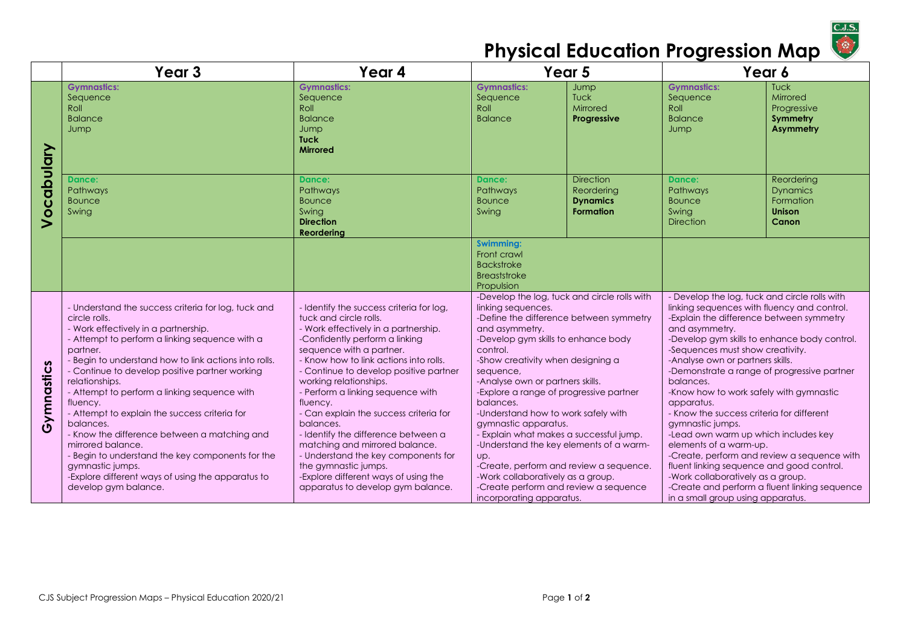

## **Physical Education Progression Map**

|            | Year <sub>3</sub>                                                                                                                                                                                                                                                                                                                                                                                                                                                                                                                                                                                                                                           | Year 4                                                                                                                                                                                                                                                                                                                                                                                                                                                                                                                                                                                                              | Year 5                                                                                                                                                                                                                                                                                                                                                                                                                                                                                                                                                                                                                                            |                                                                       | Year 6                                                                                                                                                                                                                                                                                                                                                                                                                                                                                                                                                                                                                                                                                                                                                            |                                                                             |
|------------|-------------------------------------------------------------------------------------------------------------------------------------------------------------------------------------------------------------------------------------------------------------------------------------------------------------------------------------------------------------------------------------------------------------------------------------------------------------------------------------------------------------------------------------------------------------------------------------------------------------------------------------------------------------|---------------------------------------------------------------------------------------------------------------------------------------------------------------------------------------------------------------------------------------------------------------------------------------------------------------------------------------------------------------------------------------------------------------------------------------------------------------------------------------------------------------------------------------------------------------------------------------------------------------------|---------------------------------------------------------------------------------------------------------------------------------------------------------------------------------------------------------------------------------------------------------------------------------------------------------------------------------------------------------------------------------------------------------------------------------------------------------------------------------------------------------------------------------------------------------------------------------------------------------------------------------------------------|-----------------------------------------------------------------------|-------------------------------------------------------------------------------------------------------------------------------------------------------------------------------------------------------------------------------------------------------------------------------------------------------------------------------------------------------------------------------------------------------------------------------------------------------------------------------------------------------------------------------------------------------------------------------------------------------------------------------------------------------------------------------------------------------------------------------------------------------------------|-----------------------------------------------------------------------------|
| Vocabulary | <b>Gymnastics:</b><br>Sequence<br>Roll<br><b>Balance</b><br>Jump                                                                                                                                                                                                                                                                                                                                                                                                                                                                                                                                                                                            | <b>Gymnastics:</b><br>Sequence<br>Roll<br><b>Balance</b><br>Jump<br><b>Tuck</b><br><b>Mirrored</b>                                                                                                                                                                                                                                                                                                                                                                                                                                                                                                                  | <b>Gymnastics:</b><br>Sequence<br>Roll<br><b>Balance</b>                                                                                                                                                                                                                                                                                                                                                                                                                                                                                                                                                                                          | Jump<br>Tuck<br>Mirrored<br>Progressive                               | <b>Gymnastics:</b><br>Sequence<br>Roll<br><b>Balance</b><br>Jump                                                                                                                                                                                                                                                                                                                                                                                                                                                                                                                                                                                                                                                                                                  | <b>Tuck</b><br>Mirrored<br>Progressive<br>Symmetry<br><b>Asymmetry</b>      |
|            | <b>Dance:</b><br>Pathways<br><b>Bounce</b><br>Swing                                                                                                                                                                                                                                                                                                                                                                                                                                                                                                                                                                                                         | Dance:<br>Pathways<br><b>Bounce</b><br>Swing<br><b>Direction</b><br>Reordering                                                                                                                                                                                                                                                                                                                                                                                                                                                                                                                                      | Dance:<br>Pathways<br><b>Bounce</b><br>Swing                                                                                                                                                                                                                                                                                                                                                                                                                                                                                                                                                                                                      | <b>Direction</b><br>Reordering<br><b>Dynamics</b><br><b>Formation</b> | <b>Dance:</b><br>Pathways<br><b>Bounce</b><br>Swina<br><b>Direction</b>                                                                                                                                                                                                                                                                                                                                                                                                                                                                                                                                                                                                                                                                                           | Reordering<br><b>Dynamics</b><br>Formation<br><b>Unison</b><br><b>Canon</b> |
|            |                                                                                                                                                                                                                                                                                                                                                                                                                                                                                                                                                                                                                                                             |                                                                                                                                                                                                                                                                                                                                                                                                                                                                                                                                                                                                                     | <b>Swimming:</b><br>Front crawl<br><b>Backstroke</b><br>Breaststroke<br>Propulsion                                                                                                                                                                                                                                                                                                                                                                                                                                                                                                                                                                |                                                                       |                                                                                                                                                                                                                                                                                                                                                                                                                                                                                                                                                                                                                                                                                                                                                                   |                                                                             |
| Gymnastics | - Understand the success criteria for log, tuck and<br>circle rolls.<br>- Work effectively in a partnership.<br>- Attempt to perform a linking sequence with a<br>partner.<br>- Begin to understand how to link actions into rolls.<br>- Continue to develop positive partner working<br>relationships.<br>- Attempt to perform a linking sequence with<br>fluency.<br>- Attempt to explain the success criteria for<br>balances.<br>- Know the difference between a matching and<br>mirrored balance.<br>- Begin to understand the key components for the<br>gymnastic jumps.<br>-Explore different ways of using the apparatus to<br>develop gym balance. | - Identify the success criteria for log,<br>tuck and circle rolls.<br>- Work effectively in a partnership.<br>-Confidently perform a linking<br>sequence with a partner.<br>- Know how to link actions into rolls.<br>- Continue to develop positive partner<br>working relationships.<br>- Perform a linking sequence with<br>fluency.<br>- Can explain the success criteria for<br>balances.<br>- Identify the difference between a<br>matching and mirrored balance.<br>- Understand the key components for<br>the gymnastic jumps.<br>-Explore different ways of using the<br>apparatus to develop gym balance. | -Develop the log, tuck and circle rolls with<br>linking sequences.<br>-Define the difference between symmetry<br>and asymmetry.<br>-Develop gym skills to enhance body<br>control.<br>-Show creativity when designing a<br>sequence,<br>-Analyse own or partners skills.<br>-Explore a range of progressive partner<br>balances.<br>-Understand how to work safely with<br>gymnastic apparatus.<br>- Explain what makes a successful jump.<br>-Understand the key elements of a warm-<br>Up.<br>-Create, perform and review a sequence.<br>-Work collaboratively as a group.<br>-Create perform and review a sequence<br>incorporating apparatus. |                                                                       | - Develop the log, tuck and circle rolls with<br>linking sequences with fluency and control.<br>-Explain the difference between symmetry<br>and asymmetry.<br>-Develop gym skills to enhance body control.<br>-Sequences must show creativity.<br>-Analyse own or partners skills.<br>-Demonstrate a range of progressive partner<br>balances.<br>-Know how to work safely with gymnastic<br>apparatus.<br>- Know the success criteria for different<br>gymnastic jumps.<br>-Lead own warm up which includes key<br>elements of a warm-up.<br>-Create, perform and review a sequence with<br>fluent linking sequence and good control.<br>-Work collaboratively as a group.<br>-Create and perform a fluent linking sequence<br>in a small group using apparatus. |                                                                             |